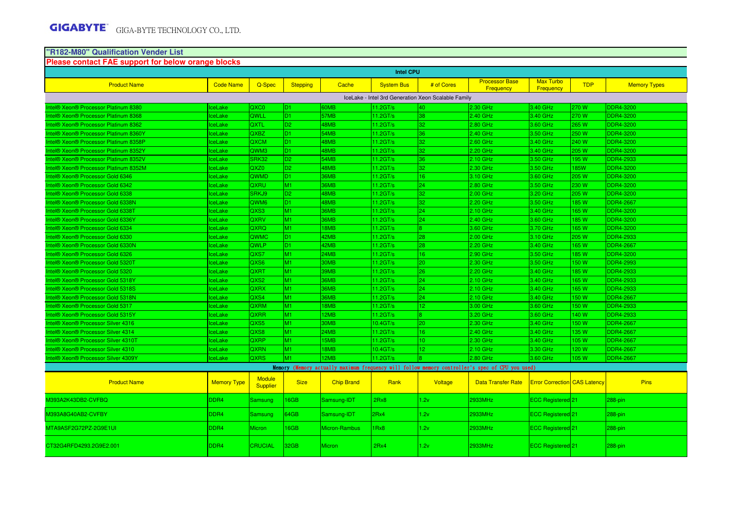# **"R182-M80" Qualification Vender List Please contact FAE support for below orange blocks**

| Please contact FAE support for below orange blocks |                    |                                  |                 |                   | <b>Intel CPU</b>  |                                                     |                                                                                                 |                                     |            |                     |
|----------------------------------------------------|--------------------|----------------------------------|-----------------|-------------------|-------------------|-----------------------------------------------------|-------------------------------------------------------------------------------------------------|-------------------------------------|------------|---------------------|
| <b>Product Name</b>                                | <b>Code Name</b>   | Q-Spec                           | <b>Stepping</b> | Cache             | <b>System Bus</b> | # of Cores                                          | <b>Processor Base</b><br>Frequency                                                              | Max Turbo<br>Frequency              | <b>TDP</b> | <b>Memory Types</b> |
|                                                    |                    |                                  |                 |                   |                   | IceLake - Intel 3rd Generation Xeon Scalable Family |                                                                                                 |                                     |            |                     |
| Intel® Xeon® Processor Platinum 8380               | <b>IceLake</b>     | QXC <sub>0</sub>                 | D <sub>1</sub>  | 60MB              | 11.2GT/s          | 40                                                  | 2.30 GHz                                                                                        | 3.40 GHz                            | 270W       | <b>DDR4-3200</b>    |
| Intel® Xeon® Processor Platinum 8368               | ceLake             | QWLL                             | D <sub>1</sub>  | 57MB              | 11.2GT/s          | 38                                                  | 2.40 GHz                                                                                        | 3.40 GHz                            | 270 W      | <b>DDR4-3200</b>    |
| Intel® Xeon® Processor Platinum 8362               | ceLake             | QXTL                             | D <sub>2</sub>  | 48MB              | 11.2GT/s          | 32                                                  | 2.80 GHz                                                                                        | 3.60 GHz                            | 265 W      | <b>DDR4-3200</b>    |
| Intel® Xeon® Processor Platinum 8360Y              | <b>IceLake</b>     | <b>QXBZ</b>                      | D1.             | 54MB              | 11.2GT/s          | 36                                                  | 2.40 GHz                                                                                        | 3.50 GHz                            | 250 W      | DDR4-3200           |
| Intel® Xeon® Processor Platinum 8358P              | <b>IceLake</b>     | QXCM                             | D <sub>1</sub>  | 48MB              | 11.2GT/s          | 32                                                  | 2.60 GHz                                                                                        | 3.40 GHz                            | 240 W      | <b>DDR4-3200</b>    |
| Intel® Xeon® Processor Platinum 8352Y              | ceLake             | QWM3                             | D <sub>1</sub>  | 48MB              | 11.2GT/s          | 32                                                  | 2.20 GHz                                                                                        | 3.40 GHz                            | 205 W      | <b>DDR4-3200</b>    |
| Intel® Xeon® Processor Platinum 8352V              | <b>IceLake</b>     | SRK32                            | D <sub>2</sub>  | 54MB              | 11.2GT/s          | 36.                                                 | 2.10 GHz                                                                                        | 3.50 GHz                            | 195 W      | <b>DDR4-2933</b>    |
| Intel® Xeon® Processor Platinum 8352M              | ceLake             | QXZ <sub>0</sub>                 | D <sub>2</sub>  | 48MB              | 11.2GT/s          | 32                                                  | 2.30 GHz                                                                                        | 3.50 GHz                            | <b>85W</b> | DDR4-3200           |
| Intel® Xeon® Processor Gold 6346                   | ceLake             | <b>QWMD</b>                      | D1.             | 36MB              | 11.2GT/s          | 16                                                  | 3.10 GHz                                                                                        | 3.60 GHz                            | 205W       | <b>DDR4-3200</b>    |
| Intel® Xeon® Processor Gold 6342                   | ceLake             | QXRU                             | M1              | 36MB              | 11.2GT/s          | 24 <sup>°</sup>                                     | 2.80 GHz                                                                                        | 3.50 GHz                            | 230 W      | <b>DDR4-3200</b>    |
| Intel® Xeon® Processor Gold 6338                   | ceLake             | SRKJ9                            | D <sub>2</sub>  | 48MB              | 11.2GT/s          | 32                                                  | 2.00 GHz                                                                                        | 3.20 GHz                            | 205 W      | <b>DDR4-3200</b>    |
| Intel® Xeon® Processor Gold 6338N                  | <b>IceLake</b>     | QWM <sub>6</sub>                 | D <sub>1</sub>  | 48MB              | 11.2GT/s          | 32                                                  | 2.20 GHz                                                                                        | 3.50 GHz                            | 185 W      | <b>DDR4-2667</b>    |
| Intel® Xeon® Processor Gold 6338T                  | ceLake             | QXS3                             | M1              | 36MB              | 11.2GT/s          | 24 <sup>°</sup>                                     | 2.10 GHz                                                                                        | 3.40 GHz                            | 65 W       | <b>DDR4-3200</b>    |
| Intel® Xeon® Processor Gold 6336Y                  | ceLake             | QXRV                             | M1              | 36MB              | 11.2GT/s          | 24.                                                 | 2.40 GHz                                                                                        | 3.60 GHz                            | 85 W       | DDR4-3200           |
| Intel® Xeon® Processor Gold 6334                   | <b>IceLake</b>     | QXRQ                             | M <sub>1</sub>  | 18MB              | 11.2GT/s          |                                                     | 3.60 GHz                                                                                        | 3.70 GHz                            | 165 W      | DDR4-3200           |
| Intel® Xeon® Processor Gold 6330                   | <b>IceLake</b>     | QWMC                             | D <sub>1</sub>  | 42MB              | 11.2GT/s          | 28                                                  | 2.00 GHz                                                                                        | 3.10 GHz                            | 205 W      | <b>DDR4-2933</b>    |
| Intel® Xeon® Processor Gold 6330N                  | ceLake             | QWLP                             | D <sub>1</sub>  | 42MB              | 11.2GT/s          | 28 <sup>2</sup>                                     | 2.20 GHz                                                                                        | 3.40 GHz                            | 65 W       | <b>DDR4-2667</b>    |
| Intel® Xeon® Processor Gold 6326                   | <b>IceLake</b>     | QXS7                             | M <sub>1</sub>  | 24MB              | 11.2GT/s          | 16                                                  | 2.90 GHz                                                                                        | 3.50 GHz                            | 185 W      | <b>DDR4-3200</b>    |
| Intel® Xeon® Processor Gold 5320T                  | ceLake             | QXS6                             | M <sub>1</sub>  | 30MB              | 11.2GT/s          | 20 <sub>1</sub>                                     | 2.30 GHz                                                                                        | 3.50 GHz                            | <b>50W</b> | DDR4-2993           |
| Intel® Xeon® Processor Gold 5320                   | ceLake             | QXRT                             | M <sub>1</sub>  | 39MB              | 11.2GT/s          | 26 <sup>°</sup>                                     | 2.20 GHz                                                                                        | 3.40 GHz                            | 185 W      | <b>DDR4-2933</b>    |
| Intel® Xeon® Processor Gold 5318Y                  | ceLake             | QXS2                             | M1              | 36MB              | 11.2GT/s          | 24 <sup>°</sup>                                     | 2.10 GHz                                                                                        | 3.40 GHz                            | 165 W      | <b>DDR4-2933</b>    |
| Intel® Xeon® Processor Gold 5318S                  | ceLake             | QXRX                             | M <sub>1</sub>  | 36MB              | 11.2GT/s          | 24.                                                 | 2.10 GHz                                                                                        | 3.40 GHz                            | 165W       | DDR4-2933           |
| Intel® Xeon® Processor Gold 5318N                  | ceLake             | QXS4                             | M <sub>1</sub>  | 36MB              | 11.2GT/s          | 24                                                  | $2.10$ GHz                                                                                      | 3.40 GHz                            | 150W       | <b>DDR4-2667</b>    |
| Intel® Xeon® Processor Gold 5317                   | ceLake             | <b>QXRM</b>                      | M <sub>1</sub>  | 18MB              | 11.2GT/s          | $\overline{2}$                                      | 3.00 GHz                                                                                        | 3.60 GHz                            | 150W       | <b>DDR4-2933</b>    |
| Intel® Xeon® Processor Gold 5315Y                  | ceLake             | QXRR                             | M1              | 12MB              | 11.2GT/s          |                                                     | 3.20 GHz                                                                                        | 3.60 GHz                            | 140 W      | <b>DDR4-2933</b>    |
| Intel® Xeon® Processor Silver 4316                 | <b>IceLake</b>     | QXS5                             | M <sub>1</sub>  | <b>30MB</b>       | 10.4GT/s          | 20                                                  | 2.30 GHz                                                                                        | 3.40 GHz                            | 150W       | <b>DDR4-2667</b>    |
| ntel® Xeon® Processor Silver 4314                  | ceLake             | QXS8                             | M1              | 24MB              | 11.2GT/s          | 16                                                  | 2.40 GHz                                                                                        | 3.40 GHz                            | 135 W      | <b>DDR4-2667</b>    |
| ntel® Xeon® Processor Silver 4310T                 | ceLake             | <b>QXRP</b>                      | M1              | 15MB              | 11.2GT/s          | 10                                                  | 2.30 GHz                                                                                        | 3.40 GHz                            | 05 W       | <b>DDR4-2667</b>    |
| ntel® Xeon® Processor Silver 4310                  | ceLake             | <b>QXRN</b>                      | M <sub>1</sub>  | 18MB              | 10.4GT/s          | 12.                                                 | 2.10 GHz                                                                                        | 3.30 GHz                            | 120 W      | <b>DDR4-2667</b>    |
| ntel® Xeon® Processor Silver 4309Y                 | ceLake             | <b>QXRS</b>                      | M <sub>1</sub>  | 12MB              | 11.2GT/s          |                                                     | 2.80 GHz                                                                                        | 3.60 GHz                            | 05 W       | <b>DDR4-2667</b>    |
|                                                    |                    |                                  |                 |                   |                   |                                                     | Memory (Memory actually maximum frequency will follow memory controller's spec of CPU you used) |                                     |            |                     |
| <b>Product Name</b>                                | <b>Memory Type</b> | <b>Module</b><br><b>Supplier</b> | <b>Size</b>     | <b>Chip Brand</b> | Rank              | Voltage                                             | <b>Data Transfer Rate</b>                                                                       | <b>Error Correction CAS Latency</b> |            | Pins                |
| 0393A2K43DB2-CVFBQ                                 | DDR4               | <b>Samsung</b>                   | 16GB            | Samsung-IDT       | 2Rx8              | 1.2v                                                | 2933MHz                                                                                         | ECC Registered <sup>21</sup>        |            | 288-pin             |
| 1393A8G40AB2-CVFBY                                 | DDR4               | <b>Samsung</b>                   | 64GB            | Samsung-IDT       | 2Rx4              | 1.2v                                                | 2933MHz                                                                                         | ECC Registered 21                   |            | 288-pin             |
| MTA9ASF2G72PZ-2G9E1UI                              | DDR4               | <b>Micron</b>                    | 16GB            | Micron-Rambus     | 1Rx8              | 1.2v                                                | 2933MHz                                                                                         | ECC Registered 21                   |            | 288-pin             |
| CT32G4RFD4293.2G9E2.001                            | DDR4               | <b>CRUCIAL</b>                   | 32GB            | <b>Micron</b>     | 2Rx4              | 1.2v                                                | 2933MHz                                                                                         | ECC Registered 21                   |            | 288-pin             |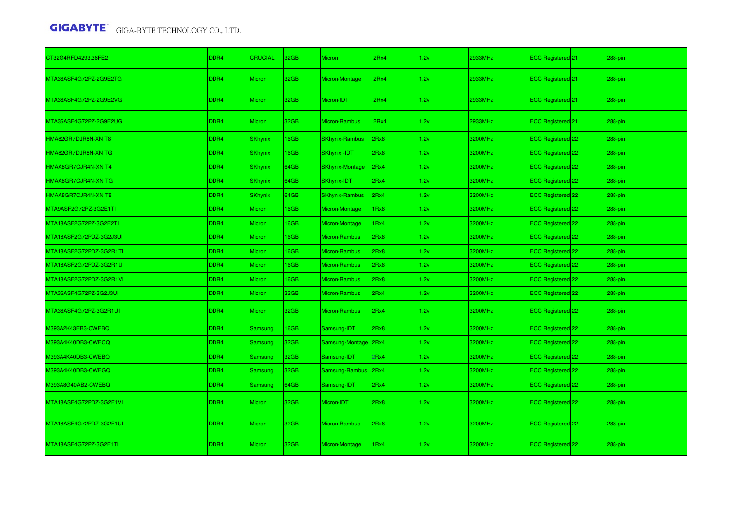| CT32G4RFD4293.36FE2     | DDR4             | <b>CRUCIAL</b> | 32GB        | <b>Micron</b>          | 2Rx4 | 1.2v | 2933MHz | ECC Registered 21            | 288-pin    |
|-------------------------|------------------|----------------|-------------|------------------------|------|------|---------|------------------------------|------------|
| MTA36ASF4G72PZ-2G9E2TG  | DDR4             | <b>Micron</b>  | 32GB        | Micron-Montage         | 2Rx4 | 1.2v | 2933MHz | ECC Registered <sup>21</sup> | $288-pin$  |
| MTA36ASF4G72PZ-2G9E2VG  | DDR <sub>4</sub> | <b>Micron</b>  | 32GB        | Micron-IDT             | 2Rx4 | 1.2v | 2933MHz | <b>ECC Registered</b> 21     | 288-pin    |
| MTA36ASF4G72PZ-2G9E2UG  | DDR4             | <b>Micron</b>  | 32GB        | Micron-Rambus          | 2Rx4 | 1.2v | 2933MHz | ECC Registered 21            | 288-pin    |
| HMA82GR7DJR8N-XN T8     | DDR4             | <b>SKhynix</b> | 16GB        | <b>SKhynix-Rambus</b>  | 2Rx8 | 1.2v | 3200MHz | ECC Registered 22            | $288-pin$  |
| HMA82GR7DJR8N-XN TG     | DDR4             | <b>SKhynix</b> | <b>I6GB</b> | <b>SKhynix -IDT</b>    | Rx8  | 1.2v | 3200MHz | ECC Registered 22            | 288-pin    |
| HMAA8GR7CJR4N-XN T4     | DDR4             | <b>SKhynix</b> | 64GB        | <b>SKhynix-Montage</b> | 2Rx4 | 1.2v | 3200MHz | ECC Registered 22            | 288-pin    |
| HMAA8GR7CJR4N-XN TG     | DDR4             | <b>SKhynix</b> | 64GB        | SKhynix-IDT            | 2Rx4 | 1.2v | 3200MHz | ECC Registered 22            | 288-pin    |
| HMAA8GR7CJR4N-XN T8     | DDR4             | <b>SKhynix</b> | 64GB        | <b>SKhynix-Rambus</b>  | 2Rx4 | 1.2v | 3200MHz | ECC Registered 22            | 288-pin    |
| MTA9ASF2G72PZ-3G2E1TI   | DDR4             | Micron         | <b>I6GB</b> | Micron-Montage         | Rx8  | 1.2v | 3200MHz | ECC Registered 22            | 288-pin    |
| MTA18ASF2G72PZ-3G2E2TI  | DDR4             | <b>Micron</b>  | <b>I6GB</b> | Micron-Montage         | Rx4  | 1.2v | 3200MHz | ECC Registered 22            | 288-pin    |
| MTA18ASF2G72PDZ-3G2J3UI | DDR4             | Micron         | <b>I6GB</b> | Micron-Rambus          | Rx8  | 1.2v | 3200MHz | ECC Registered 22            | 288-pin    |
| MTA18ASF2G72PDZ-3G2R1TI | DDR4             | <b>Micron</b>  | <b>I6GB</b> | <b>Micron-Rambus</b>   | Rx8  | 1.2v | 3200MHz | ECC Registered 22            | 288-pin    |
| MTA18ASF2G72PDZ-3G2R1UI | DDR4             | Micron         | 16GB        | Micron-Rambus          | 2Rx8 | 1.2v | 3200MHz | ECC Registered 22            | 288-pin    |
| MTA18ASF2G72PDZ-3G2R1VI | DDR4             | <b>Micron</b>  | <b>I6GB</b> | Micron-Rambus          | 2Rx8 | 1.2v | 3200MHz | ECC Registered 22            | 288-pin    |
| MTA36ASF4G72PZ-3G2J3UI  | DDR4             | Micron         | 32GB        | Micron-Rambus          | 2Rx4 | 1.2v | 3200MHz | ECC Registered 22            | 288-pin    |
| MTA36ASF4G72PZ-3G2R1UI  | DDR4             | <b>Micron</b>  | 32GB        | <b>Micron-Rambus</b>   | Rx4  | 1.2v | 3200MHz | ECC Registered 22            | 288-pin    |
| M393A2K43EB3-CWEBQ      | DDR4             | <b>Samsung</b> | 16GB        | Samsung-IDT            | 2Rx8 | 1.2v | 3200MHz | ECC Registered 22            | 288-pin    |
| M393A4K40DB3-CWECQ      | DDR4             | Samsung        | 32GB        | Samsung-Montage        | 2Rx4 | 1.2v | 3200MHz | ECC Registered 22            | 288-pin    |
| M393A4K40DB3-CWEBQ      | DDR4             | <b>Samsung</b> | 32GB        | Samsung-IDT            | Rx4  | 1.2v | 3200MHz | ECC Registered 22            | 288-pin    |
| M393A4K40DB3-CWEGQ      | DDR4             | <b>Samsung</b> | 32GB        | Samsung-Rambus         | 2Rx4 | 1.2v | 3200MHz | ECC Registered 22            | 288-pin    |
| M393A8G40AB2-CWEBQ      | DDR4             | <b>Samsung</b> | 64GB        | Samsung-IDT            | 2Rx4 | 1.2v | 3200MHz | ECC Registered 22            | 288-pin    |
| MTA18ASF4G72PDZ-3G2F1VI | DDR4             | <b>Micron</b>  | 32GB        | Micron-IDT             | 2Rx8 | 1.2v | 3200MHz | ECC Registered 22            | $288$ -pin |
| MTA18ASF4G72PDZ-3G2F1UI | DDR4             | <b>Micron</b>  | 32GB        | <b>Micron-Rambus</b>   | 2Rx8 | 1.2v | 3200MHz | ECC Registered 22            | 288-pin    |
| MTA18ASF4G72PZ-3G2F1TI  | DDR <sub>4</sub> | <b>Micron</b>  | 32GB        | Micron-Montage         | Rx4  | 1.2v | 3200MHz | ECC Registered 22            | $288-pin$  |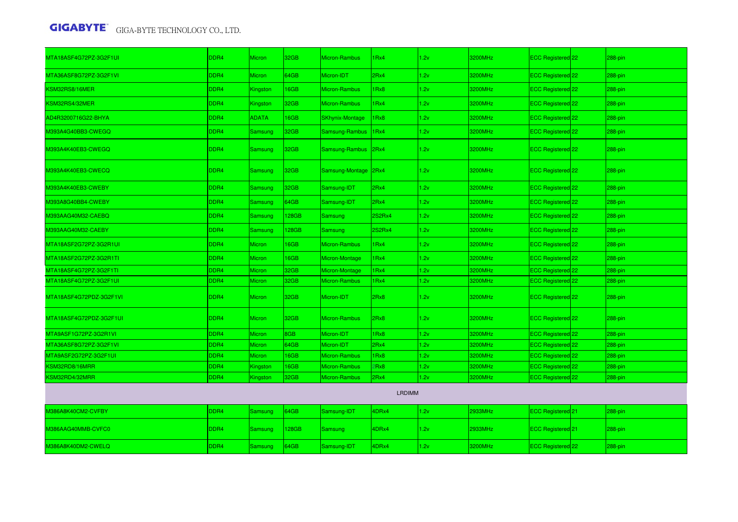| MTA18ASF4G72PZ-3G2F1UI  | DDR4        | <b>Micron</b>  | 32GB             | Micron-Rambus          | 1Rx4   | 1.2v | 3200MHz | ECC Registered <sup>22</sup>        | 288-pin   |
|-------------------------|-------------|----------------|------------------|------------------------|--------|------|---------|-------------------------------------|-----------|
| MTA36ASF8G72PZ-3G2F1VI  | DDR4        | Micron         | 64GB             | Micron-IDT             | 2Rx4   | 1.2v | 3200MHz | ECC Registered 22                   | 288-pin   |
| KSM32RS8/16MER          | DDR4        | Kingston       | 16GB             | Micron-Rambus          | 1Rx8   | 1.2v | 3200MHz | ECC Registered 22                   | 288-pin   |
| KSM32RS4/32MER          | <b>DDR4</b> | Kingston       | 32GB             | Micron-Rambus          | 1Rx4   | 1.2v | 3200MHz | ECC Registered <sup>22</sup>        | 288-pin   |
| AD4R3200716G22-BHYA     | <b>DDR4</b> | <b>ADATA</b>   | 16GB             | <b>SKhynix-Montage</b> | 1Rx8   | 1.2v | 3200MHz | ECC Registered 22                   | 288-pin   |
| M393A4G40BB3-CWEGQ      | DDR4        | Samsung        | 32GB             | Samsung-Rambus   1Rx4  |        | 1.2v | 3200MHz | ECC Registered 22                   | 288-pin   |
| M393A4K40EB3-CWEGQ      | DDR4        | Samsung        | 32GB             | Samsung-Rambus 2Rx4    |        | 1.2v | 3200MHz | ECC Registered 22                   | 288-pin   |
| M393A4K40EB3-CWECQ      | DDR4        | Samsung        | 32 <sub>GB</sub> | Samsung-Montage 2Rx4   |        | 1.2v | 3200MHz | ECC Registered 22                   | 288-pin   |
| M393A4K40EB3-CWEBY      | <b>DDR4</b> | Samsung        | 32GB             | Samsung-IDT            | 2Rx4   | 1.2v | 3200MHz | ECC Registered 22                   | 288-pin   |
| M393A8G40BB4-CWEBY      | DDR4        | <b>Samsung</b> | 64GB             | Samsung-IDT            | 2Rx4   | 1.2v | 3200MHz | ECC Registered 22                   | 288-pin   |
| M393AAG40M32-CAEBQ      | DDR4        | Samsung        | 128GB            | Samsung                | 2S2Rx4 | 1.2v | 3200MHz | ECC Registered 22                   | 288-pin   |
| M393AAG40M32-CAEBY      | DDR4        | Samsung        | 128GB            | <b>Samsung</b>         | 2S2Rx4 | 1.2v | 3200MHz | ECC Registered 22                   | 288-pin   |
| MTA18ASF2G72PZ-3G2R1UI  | DDR4        | <b>Micron</b>  | 16GB             | Micron-Rambus          | 1Rx4   | 1.2v | 3200MHz | ECC Registered 22                   | 288-pin   |
| MTA18ASF2G72PZ-3G2R1TI  | DDR4        | Micron         | 16GB             | Micron-Montage         | 1Rx4   | 1.2v | 3200MHz | ECC Registered 22                   | 288-pin   |
| MTA18ASF4G72PZ-3G2F1TI  | DDR4        | Micron         | 32GB             | Micron-Montage         | 1Rx4   | 1.2v | 3200MHz | ECC Registered 22                   | 288-pin   |
| MTA18ASF4G72PZ-3G2F1UI  | DDR4        | Micron         | 32GB             | Micron-Rambus          | 1Rx4   | 1.2v | 3200MHz | ECC Registered <sup>122</sup>       | 288-pin   |
| MTA18ASF4G72PDZ-3G2F1VI | DDR4        | Micron         | 32GB             | Micron-IDT             | 2Rx8   | 1.2v | 3200MHz | ECC Registered <sup>22</sup>        | 288-pin   |
| MTA18ASF4G72PDZ-3G2F1UI | DDR4        | Micron         | 32GB             | Micron-Rambus          | 2Rx8   | 1.2v | 3200MHz | ECC Registered 22                   | 288-pin   |
| MTA9ASF1G72PZ-3G2R1VI   | DDR4        | Micron         | 8GB              | Micron-IDT             | 1Rx8   | 1.2v | 3200MHz | ECC Registered <sup>22</sup>        | 288-pin   |
| MTA36ASF8G72PZ-3G2F1VI  | DDR4        | Micron         | 64GB             | Micron-IDT             | 2Rx4   | 1.2v | 3200MHz | ECC Registered <sup>22</sup>        | 288-pin   |
| MTA9ASF2G72PZ-3G2F1UI   | DDR4        | Micron         | 16GB             | Micron-Rambus          | 1Rx8   | 1.2v | 3200MHz | ECC Registered <sup>122</sup>       | 288-pin   |
| KSM32RD8/16MRR          | DDR4        | Kingston       | 16GB             | Micron-Rambus          | 2Rx8   | 1.2v | 3200MHz | ECC Registered <sup>22</sup>        | 288-pin   |
| KSM32RD4/32MRR          | DDR4        | Kingston       | 32GB             | Micron-Rambus          | 2Rx4   | 1.2v | 3200MHz | ECC Registered 22                   | 288-pin   |
|                         |             |                |                  |                        | LRDIMM |      |         |                                     |           |
| M386A8K40CM2-CVFBY      | <b>DDR4</b> | <b>Samsung</b> | 64GB             | Samsung-IDT            | 4DRx4  | 1.2v | 2933MHz | ECC Registered 21                   | 288-pin   |
| M386AAG40MMB-CVFC0      | DDR4        | Samsung        | 128GB            | Samsung                | 4DRx4  | 1.2v | 2933MHz | <b>ECC Registered</b> <sup>21</sup> | $288-pin$ |
| M386A8K40DM2-CWELQ      | <b>DDR4</b> | <b>Samsung</b> | 64GB             | Samsung-IDT            | 4DRx4  | 1.2v | 3200MHz | ECC Registered 22                   | 288-pin   |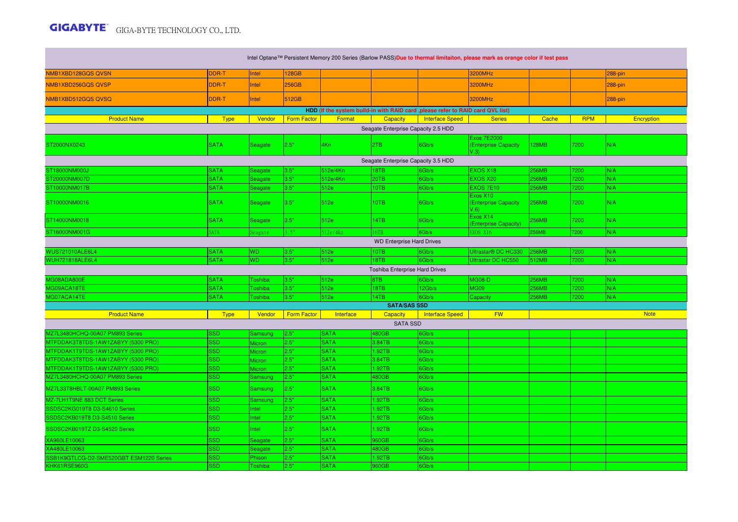$\mathcal{O}(\mathcal{O}_\mathcal{O})$  .

|                                                         |                          |               |                    | Intel Optane™ Persistent Memory 200 Series (Barlow PASS)Due to thermal limitaiton, please mark as orange color if test pass |                                       |                                                                                  |                                                    |              |            |             |  |  |
|---------------------------------------------------------|--------------------------|---------------|--------------------|-----------------------------------------------------------------------------------------------------------------------------|---------------------------------------|----------------------------------------------------------------------------------|----------------------------------------------------|--------------|------------|-------------|--|--|
| NMB1XBD128GQS QVSN                                      | DDR-T                    | Intel         | 128GB              |                                                                                                                             |                                       |                                                                                  | 3200MHz                                            |              |            | 288-pin     |  |  |
| NMB1XBD256GQSQVSP                                       | DDR-T                    | Intel         | 256GB              |                                                                                                                             |                                       |                                                                                  | 3200MHz                                            |              |            | 288-pin     |  |  |
| NMB1XBD512GQS QVSQ                                      | DDR-T                    | Intel         | 512GB              |                                                                                                                             |                                       |                                                                                  | 3200MHz                                            |              |            | 288-pin     |  |  |
|                                                         |                          |               |                    |                                                                                                                             |                                       | HDD (If the system build-in with RAID card , please refer to RAID card QVL list) |                                                    |              |            |             |  |  |
| <b>Product Name</b>                                     | <b>Type</b>              | Vendor        | <b>Form Factor</b> | Format                                                                                                                      | <b>Capacity</b>                       | Interface Speed                                                                  | <b>Series</b>                                      | Cache        | <b>RPM</b> | Encryption  |  |  |
|                                                         |                          |               |                    |                                                                                                                             | Seagate Enterprise Capacity 2.5 HDD   |                                                                                  |                                                    |              |            |             |  |  |
| ST2000NX0243                                            | <b>SATA</b>              | Seagate       | 2.5"               | 4Kn                                                                                                                         | I <sub>2</sub> TB                     | 6Gb/s                                                                            | <b>Exos 7E2000</b><br>(Enterprise Capacity<br>V.3V | 128MB        | 7200       | N/A         |  |  |
|                                                         |                          |               |                    |                                                                                                                             | Seagate Enterprise Capacity 3.5 HDD   |                                                                                  |                                                    |              |            |             |  |  |
| ST18000NM000J                                           | <b>SATA</b>              | Seagate       | 3.5"               | 512e/4Kn                                                                                                                    | 18TB                                  | 6Gb/s                                                                            | EXOS X18                                           | 256MB        | 7200       | N/A         |  |  |
| ST20000NM007D                                           | <b>SATA</b>              | Seagate       | 3.5"               | 512e/4Kn                                                                                                                    | <b>20TB</b>                           | 6Gb/s                                                                            | EXOS X20                                           | 256MB        | 7200       | N/A         |  |  |
| ST10000NM017B                                           | <b>SATA</b>              | Seagate       | 3.5"               | 512e                                                                                                                        | 10TB                                  | 6Gb/s                                                                            | EXOS 7E10                                          | <b>256MB</b> | 7200       | N/A         |  |  |
| ST10000NM0016                                           | <b>SATA</b>              | Seagate       | 3.5"               | 512e                                                                                                                        | <b>10TB</b>                           | 6Gb/s                                                                            | Exos X10<br>(Enterprise Capacity<br>$V.6$ )        | <b>256MB</b> | 7200       | N/A         |  |  |
| ST14000NM0018                                           | <b>SATA</b>              | Seagate       | 3.5"               | 512e                                                                                                                        | 14TB                                  | 6Gb/s                                                                            | Exos X14<br>(Enterprise Capacity)                  | <b>256MB</b> | 7200       | N/A         |  |  |
| ST16000NM001G                                           | <b>SATA</b>              | Seagate       | 3.5"               | 512e/4Kn                                                                                                                    | 16TB                                  | 6Gb/s                                                                            | EXOS X16                                           | <b>256MB</b> | 7200       | N/A         |  |  |
| <b>WD Enterprise Hard Drives</b>                        |                          |               |                    |                                                                                                                             |                                       |                                                                                  |                                                    |              |            |             |  |  |
| <b>WUS721010ALE6L4</b>                                  | <b>SATA</b>              | <b>WD</b>     | 3.5"               | 512e                                                                                                                        | 10TB                                  | 6Gb/s                                                                            | Ultrastar <sup>®</sup> DC HC330                    | <b>256MB</b> | 7200       | N/A         |  |  |
| <b>WUH721818ALE6L4</b>                                  | <b>SATA</b>              | <b>WD</b>     | 3.5"               | 512e                                                                                                                        | 18TB                                  | 6Gb/s                                                                            | <b>Ultrastar DC HC550</b>                          | 512MB        | 7200       | N/A         |  |  |
|                                                         |                          |               |                    |                                                                                                                             | <b>Toshiba Enterprise Hard Drives</b> |                                                                                  |                                                    |              |            |             |  |  |
| MG08ADA800E                                             |                          |               |                    |                                                                                                                             |                                       |                                                                                  |                                                    |              |            |             |  |  |
|                                                         | <b>SATA</b>              | Toshiba       | 3.5"               | 512e                                                                                                                        | 8TB                                   | 6Gb/s                                                                            | <b>MG08-D</b>                                      | <b>256MB</b> | 7200       | N/A         |  |  |
| MG09ACA18TE                                             | <b>SATA</b>              | Toshiba       | 3.5"               | 512e                                                                                                                        | 18TB                                  | 12Gb/s                                                                           | <b>MG09</b>                                        | <b>256MB</b> | 7200       | N/A         |  |  |
| MG07ACA14TE                                             | <b>SATA</b>              | Toshiba       | 3.5"               | 512e                                                                                                                        | 14TB                                  | Gb/s                                                                             | Capacity                                           | 256MB        | 7200       | N/A         |  |  |
|                                                         |                          |               |                    |                                                                                                                             | <b>SATA/SAS SSD</b>                   |                                                                                  |                                                    |              |            |             |  |  |
| <b>Product Name</b>                                     | <b>Type</b>              | Vendor        | <b>Form Factor</b> | Interface                                                                                                                   | <b>Capacity</b>                       | <b>Interface Speed</b>                                                           | <b>FW</b>                                          |              |            | <b>Note</b> |  |  |
|                                                         |                          |               |                    |                                                                                                                             | <b>SATA SSD</b>                       |                                                                                  |                                                    |              |            |             |  |  |
| <b>AZ7L3480HCHQ-00A07 PM893 Series</b>                  | SSD                      | Samsung       | 2.5"               | <b>SATA</b>                                                                                                                 | 480GB                                 | Gb/s                                                                             |                                                    |              |            |             |  |  |
| MTFDDAK3T8TDS-1AW1ZABYY (5300 PRO)                      | <b>SSD</b>               | <b>Micron</b> | 2.5"               | <b>SATA</b>                                                                                                                 | 3.84TB                                | 6Gb/s                                                                            |                                                    |              |            |             |  |  |
| MTFDDAK1T9TDS-1AW1ZABYY (5300 PRO)                      | SSD                      | <b>Micron</b> | 2.5"               | <b>SATA</b>                                                                                                                 | 1.92TB                                | 6Gb/s                                                                            |                                                    |              |            |             |  |  |
| MTFDDAK3T8TDS-1AW1ZABYY (5300 PRO)                      | <b>SSD</b>               | <b>Micron</b> | 2.5"               | <b>SATA</b>                                                                                                                 | 3.84TB                                | 6Gb/s                                                                            |                                                    |              |            |             |  |  |
| MTFDDAK1T9TDS-1AW1ZABYY (5300 PRO)                      | <b>SSD</b>               | Micron        | 2.5"               | <b>SATA</b>                                                                                                                 | 1.92TB                                | 6Gb/s                                                                            |                                                    |              |            |             |  |  |
| MZ7L3480HCHQ-00A07 PM893 Series                         | <b>SSD</b>               | Samsung       | 2.5"               | <b>SATA</b>                                                                                                                 | 480GB                                 | 6Gb/s                                                                            |                                                    |              |            |             |  |  |
| MZ7L33T8HBLT-00A07 PM893 Series                         | <b>SSD</b>               | Samsung       | 2.5"               | <b>SATA</b>                                                                                                                 | 3.84TB                                | 6Gb/s                                                                            |                                                    |              |            |             |  |  |
| MZ-7LH1T9NE 883 DCT Series                              | SSD                      | Samsung       | 2.5"               | <b>SATA</b>                                                                                                                 | 1.92TB                                | Gb/s                                                                             |                                                    |              |            |             |  |  |
| SSDSC2KG019T8 D3-S4610 Series                           | SSD                      | Intel         | 2.5"               | <b>SATA</b>                                                                                                                 | 1.92TB                                | Gb/s                                                                             |                                                    |              |            |             |  |  |
| SSDSC2KB019T8 D3-S4510 Series                           | <b>SSD</b>               | Intel         | 2.5"               | <b>SATA</b>                                                                                                                 | 1.92TB                                | 6Gb/s                                                                            |                                                    |              |            |             |  |  |
| SSDSC2KB019TZ D3-S4520 Series                           | <b>SSD</b>               | Intel         | 2.5"               | <b>SATA</b>                                                                                                                 | 1.92TB                                | 6Gb/s                                                                            |                                                    |              |            |             |  |  |
| XA960LE10063                                            | SSD                      | Seagate       | 2.5"               | <b>SATA</b>                                                                                                                 | 960GB                                 | 6Gb/s                                                                            |                                                    |              |            |             |  |  |
| XA480LE10063                                            | <b>SSD</b>               | Seagate       | 2.5"               | <b>SATA</b>                                                                                                                 | 480GB                                 | 6Gb/s                                                                            |                                                    |              |            |             |  |  |
| SSB1K9GTLCG-D2-SME520GBT ESM1220 Series<br>KHK61RSE960G | <b>SSD</b><br><b>SSD</b> | Phison        | 2.5"<br>2.5"       | <b>SATA</b><br><b>SATA</b>                                                                                                  | 1.92TB<br>960GB                       | 6Gb/s<br>6Gb/s                                                                   |                                                    |              |            |             |  |  |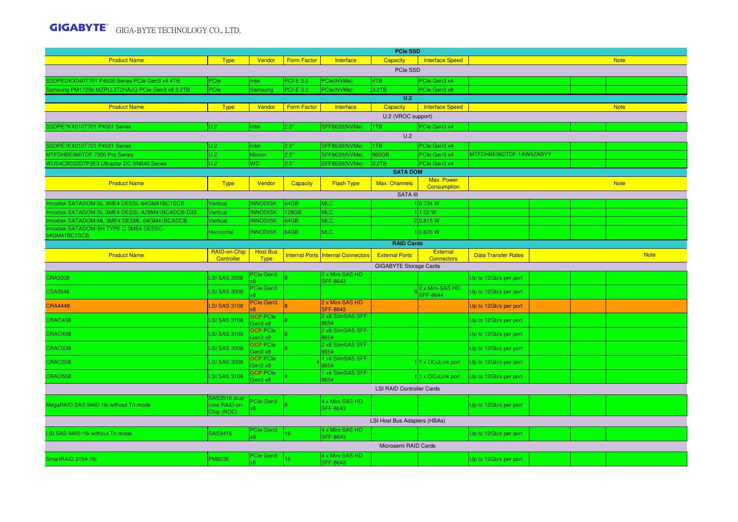|                                                        |                                              |                                |                    |                                              | <b>PCIe SSD</b>                  |                                     |                            |  |  |             |
|--------------------------------------------------------|----------------------------------------------|--------------------------------|--------------------|----------------------------------------------|----------------------------------|-------------------------------------|----------------------------|--|--|-------------|
| <b>Product Name</b>                                    | <b>Type</b>                                  | Vendor                         | <b>Form Factor</b> | Interface                                    | Capacity                         | <b>Interface Speed</b>              |                            |  |  | <b>Note</b> |
|                                                        |                                              |                                |                    |                                              | PCIe SSD                         |                                     |                            |  |  |             |
| SSDPEDKX040T701 P4500 Series PCIe Gen3 x4 4TB          | PCle                                         | Intel                          | <b>PCI-E 3.0</b>   | PCIe(NVMe)                                   | 4TB                              | PCIe Gen3 x4                        |                            |  |  |             |
| Samsung PM1725b MZPLL3T2HAJQ PCIe Gen3 x8 3.2TB        | PCIe                                         | Samsung                        | <b>PCI-E 3.0</b>   | PCle(NVMe)                                   | 3.2TB                            | PCIe Gen3 x8                        |                            |  |  |             |
|                                                        |                                              |                                |                    |                                              | U.2                              |                                     |                            |  |  |             |
| <b>Product Name</b>                                    | <b>Type</b>                                  | Vendor                         | <b>Form Factor</b> | Interface                                    | Capacity                         | <b>Interface Speed</b>              |                            |  |  | <b>Note</b> |
|                                                        |                                              |                                |                    |                                              | U.2 (VROC support)               |                                     |                            |  |  |             |
| SSDPE7KX010T701 P4501 Series                           | U.2                                          | Intel                          | 2.5"               | SFF8639(NVMe)                                | 1TB<br>U.2                       | PCIe Gen3 x4                        |                            |  |  |             |
| SSDPE7KX010T701 P4501 Series                           | IU.2                                         | Intel                          | 2.5"               | SFF8639(NVMe)                                | 1TB.                             | PCIe Gen3 x4                        |                            |  |  |             |
| MTFDHBE960TDF 7300 Pro Series                          | U.2                                          | Micron                         | 2.5"               | SFF8639(NVMe)                                | 960GB                            | PCIe Gen3 x4                        | MTFDHBE960TDF-1AW4ZABYY    |  |  |             |
| WUS4CB032D7P3E3 Ultrastar DC SN640 Series              | U.2                                          | WD                             | 2.5"               | SFF8639(NVMe)                                | 3.2TB                            | PCle Gen3 x4                        |                            |  |  |             |
|                                                        |                                              |                                |                    |                                              | <b>SATA DOM</b>                  |                                     |                            |  |  |             |
| <b>Product Name</b>                                    | <b>Type</b>                                  | Vendor                         | <b>Capacity</b>    | <b>Flash Type</b>                            | Max. Channels                    | Max. Power<br>Consumption           |                            |  |  | <b>Note</b> |
|                                                        |                                              |                                |                    |                                              | <b>SATA III</b>                  |                                     |                            |  |  |             |
| Innodisk SATADOM-SL 3ME4 DESSL-64GM41BC1SCB            | Vertical                                     | <b>NNODISK</b>                 | 64GB               | MLC                                          |                                  | 1 0.734 W                           |                            |  |  |             |
| Innodisk SATADOM-SL 3ME4 DESSL-A28M41BCADCB-D33        | Vertical                                     | <b>INNODISK</b>                | 128GB              | <b>MLC</b>                                   |                                  | 11.02 W                             |                            |  |  |             |
| Innodisk SATADOM-ML 3ME4 DESML-64GM41BCADCB            | Vertical                                     | <b>INNODISK</b>                | 64GB               | <b>MLC</b>                                   |                                  | 2 0.815 W                           |                            |  |  |             |
| Innodisk SATADOM-SH TYPE C 3ME4 DESSC-<br>64GM41BC1SCB | <b>Horizontal</b>                            | <b>INNODISK</b>                | 64GB               | <b>MLC</b>                                   |                                  | 10.626 W                            |                            |  |  |             |
| <b>RAID Cards</b>                                      |                                              |                                |                    |                                              |                                  |                                     |                            |  |  |             |
| <b>Product Name</b>                                    | RAID-on-Chip<br>Controller                   | <b>Host Bus</b><br><b>Type</b> |                    | <b>Internal Ports Internal Connectors</b>    | <b>External Ports</b>            | External<br><b>Connectors</b>       | <b>Data Transfer Rates</b> |  |  | <b>Note</b> |
|                                                        |                                              |                                |                    |                                              | <b>GIGABYTE Storage Cards</b>    |                                     |                            |  |  |             |
| <b>CRA3338</b>                                         | <b>SI SAS 3008</b>                           | <b>Cle Gen3</b>                |                    | 2 x Mini-SAS HD<br><b>SFF-8643</b>           |                                  |                                     | Up to 12Gb/s per port      |  |  |             |
| <b>CSA3548</b>                                         | <b>LSI SAS 3008</b>                          | PCIe Gen3                      |                    |                                              |                                  | 2 x Mini-SAS HD<br><b>ISFF-8644</b> | Up to 12Gb/s per port      |  |  |             |
| <b>CRA4448</b>                                         | <b>LSI SAS 3108</b>                          | <b>PCIe Gen3</b>               |                    | 2 x Mini-SAS HD<br><b>SFF-8643</b>           |                                  |                                     | Up to 12Gb/s per port      |  |  |             |
| <b>CRAO438</b>                                         | <b>LSI SAS 3108</b>                          | <b>OCP PCIe</b><br>Gen3 x8     |                    | 2 x8 SlimSAS SFF-<br>8654                    |                                  |                                     | Up to 12Gb/s per port      |  |  |             |
| <b>CRAO438</b>                                         | <b>LSI SAS 3108</b>                          | <b>OCP</b> PCIe<br>den3 x8     |                    | 2 x8 SlimSAS SFF-<br>8654                    |                                  |                                     | Up to 12Gb/s per port      |  |  |             |
| <b>CRAO338</b>                                         | <b>LSI SAS 3008</b>                          | <b>OCP</b> PCIe<br>Gen3 x8     |                    | 2 x8 SlimSAS SFF-<br>3654                    |                                  |                                     | Up to 12Gb/s per port      |  |  |             |
| <b>CRAO358</b>                                         | <b>LSI SAS 3008</b>                          | <b>OCP</b> PCIe<br>den3 x8     |                    | 1 x4 SlimSAS SFF-<br>8654<br>x4 SlimSAS SFF- |                                  | 11 x OCuLink port                   | Up to 12Gb/s per port      |  |  |             |
| <b>CRAO558</b>                                         | <b>LSI SAS 3108</b>                          | <b>OCP</b> PCIe<br>aen3 x8     |                    | 3654                                         |                                  | 11 x OCuLink port                   | Up to 12Gb/s per port      |  |  |             |
|                                                        |                                              |                                |                    |                                              | <b>LSI RAID Controller Cards</b> |                                     |                            |  |  |             |
| MegaRAID SAS 9460-16i without Tri-mode                 | SAS3516 dual-<br>core RAID-on-<br>Chip (ROC) | <b>PCIe Gen3</b>               |                    | 4 x Mini-SAS HD<br><b>SFF-8643</b>           |                                  |                                     | Up to 12Gb/s per port      |  |  |             |
|                                                        |                                              |                                |                    |                                              | LSI Host Bus Adapters (HBAs)     |                                     |                            |  |  |             |
| LSI SAS 9400-16i without Tri-mode                      | SAS3416                                      | <b>PCIe Gen3</b>               | 6                  | 4 x Mini-SAS HD<br><b>SFF-8643</b>           |                                  |                                     | Up to 12Gb/s per port      |  |  |             |
|                                                        |                                              |                                |                    |                                              | Microsemi RAID Cards             |                                     |                            |  |  |             |
| SmartRAID 3154-16i                                     | <b>PM8236</b>                                | <b>PCIe Gen3</b>               | 16                 | 4 x Mini-SAS HD<br>SFF-8643                  |                                  |                                     | Up to 12Gb/s per port      |  |  |             |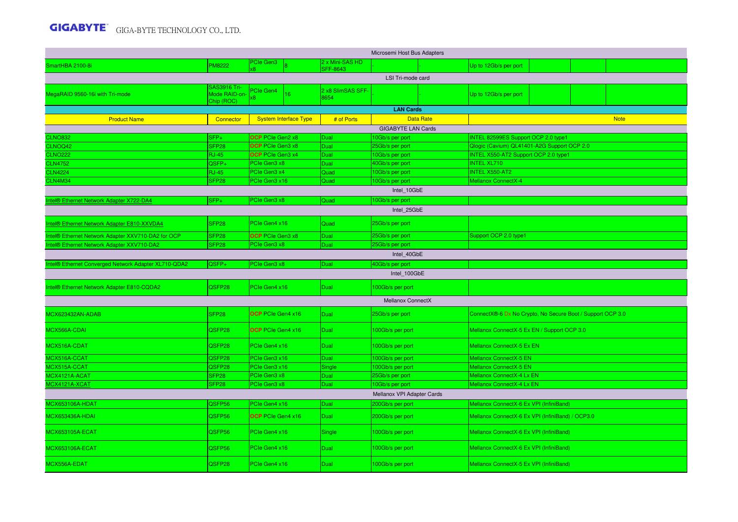|                                                      |                                             |                              |                              |                                    | Microsemi Host Bus Adapters        |                  |                                                                                           |  |  |             |  |  |  |
|------------------------------------------------------|---------------------------------------------|------------------------------|------------------------------|------------------------------------|------------------------------------|------------------|-------------------------------------------------------------------------------------------|--|--|-------------|--|--|--|
| SmartHBA 2100-8i                                     | <b>M8222</b>                                | PCIe Gen3                    |                              | 2 x Mini-SAS HD<br><b>SFF-8643</b> |                                    |                  | Up to 12Gb/s per port                                                                     |  |  |             |  |  |  |
|                                                      |                                             |                              |                              |                                    | LSI Tri-mode card                  |                  |                                                                                           |  |  |             |  |  |  |
| MegaRAID 9560-16i with Tri-mode                      | SAS3916 Tri-<br>Mode RAID-on-<br>Chip (ROC) | PCIe Gen4                    | 16                           | 2 x8 SlimSAS SFF-<br>8654          |                                    |                  | Up to 12Gb/s per port                                                                     |  |  |             |  |  |  |
|                                                      |                                             |                              |                              |                                    | <b>LAN Cards</b>                   |                  |                                                                                           |  |  |             |  |  |  |
| <b>Product Name</b>                                  | Connector                                   |                              | <b>System Interface Type</b> | # of Ports                         |                                    | <b>Data Rate</b> |                                                                                           |  |  | <b>Note</b> |  |  |  |
|                                                      |                                             | <b>OCP</b> PCIe Gen2 x8      |                              |                                    | <b>GIGABYTE LAN Cards</b>          |                  |                                                                                           |  |  |             |  |  |  |
| <b>CLNO832</b><br>CLNOQ42                            | $SFP+$<br>SFP <sub>28</sub>                 | <b>OCP</b> PCIe Gen3 x8      |                              | Dual<br>Dual                       | 10Gb/s per port<br>25Gb/s per port |                  | <b>INTEL 82599ES Support OCP 2.0 type1</b><br>Qlogic (Cavium) QL41401-A2G Support OCP 2.0 |  |  |             |  |  |  |
| <b>CLNO222</b>                                       | <b>RJ-45</b>                                | <b>OCP</b> PCIe Gen3 x4      |                              | Dual                               | 10Gb/s per port                    |                  | NTEL X550-AT2 Support OCP 2.0 type1                                                       |  |  |             |  |  |  |
| <b>CLN4752</b>                                       | $QSFP+$                                     | PCIe Gen3 x8                 |                              | Dual                               | 40Gb/s per port                    |                  | NTEL XL710                                                                                |  |  |             |  |  |  |
| <b>CLN4224</b>                                       | <b>RJ-45</b>                                | PCIe Gen3 x4                 |                              | Quad                               | 10Gb/s per port                    |                  | NTEL X550-AT2                                                                             |  |  |             |  |  |  |
| CLN4M34                                              | SFP <sub>28</sub>                           | PCIe Gen3 x16                |                              | Quad                               | 10Gb/s per port                    |                  | <b>Mellanox ConnectX-4</b>                                                                |  |  |             |  |  |  |
|                                                      |                                             |                              |                              |                                    | Intel_10GbE                        |                  |                                                                                           |  |  |             |  |  |  |
| ntel® Ethernet Network Adapter X722-DA4              | SFP+                                        | PCIe Gen3 x8                 |                              | Quad                               | 10Gb/s per port                    |                  |                                                                                           |  |  |             |  |  |  |
|                                                      |                                             |                              |                              |                                    | Intel 25GbE                        |                  |                                                                                           |  |  |             |  |  |  |
| Intel® Ethernet Network Adapter E810-XXVDA4          | SFP <sub>28</sub>                           | PCIe Gen4 x16                |                              | Quad                               | 25Gb/s per port                    |                  |                                                                                           |  |  |             |  |  |  |
| Intel® Ethernet Network Adapter XXV710-DA2 for OCP   | SFP <sub>28</sub>                           | OCP PCIe Gen3 x8             |                              | <b>Dual</b>                        | 25Gb/s per port                    |                  | Support OCP 2.0 type1                                                                     |  |  |             |  |  |  |
| Intel® Ethernet Network Adapter XXV710-DA2           | SFP <sub>28</sub>                           | PCIe Gen3 x8                 |                              | Dual                               | 25Gb/s per port                    |                  |                                                                                           |  |  |             |  |  |  |
|                                                      |                                             |                              |                              |                                    | Intel 40GbE                        |                  |                                                                                           |  |  |             |  |  |  |
| Intel® Ethernet Converged Network Adapter XL710-QDA2 | QSFP+                                       | PCIe Gen3 x8                 |                              | <b>Dual</b>                        | 40Gb/s per port                    |                  |                                                                                           |  |  |             |  |  |  |
|                                                      |                                             |                              |                              |                                    | Intel 100GbE                       |                  |                                                                                           |  |  |             |  |  |  |
| Intel® Ethernet Network Adapter E810-CQDA2           | QSFP28                                      | PCIe Gen4 x16                |                              | Dual                               | 100Gb/s per port                   |                  |                                                                                           |  |  |             |  |  |  |
|                                                      |                                             |                              |                              |                                    | Mellanox ConnectX                  |                  |                                                                                           |  |  |             |  |  |  |
| MCX623432AN-ADAB                                     | SFP <sub>28</sub>                           | <b>OCP</b> PCIe Gen4 x16     |                              | <b>Dual</b>                        | 25Gb/s per port                    |                  | ConnectX®-6 Dx No Crypto, No Secure Boot / Support OCP 3.0                                |  |  |             |  |  |  |
| MCX566A-CDAI                                         | QSFP28                                      | <b>OCP</b> PCIe Gen4 x16     |                              | <b>Dual</b>                        | 100Gb/s per port                   |                  | Mellanox ConnectX-5 Ex EN / Support OCP 3.0                                               |  |  |             |  |  |  |
| MCX516A-CDAT                                         | QSFP28                                      | PCIe Gen4 x16                |                              | <b>Dual</b>                        | 100Gb/s per port                   |                  | Mellanox ConnectX-5 Ex EN                                                                 |  |  |             |  |  |  |
| MCX516A-CCAT                                         | QSFP28                                      | PCle Gen3 x16                |                              | <b>Dual</b>                        | 100Gb/s per port                   |                  | Mellanox ConnectX-5 EN                                                                    |  |  |             |  |  |  |
| MCX515A-CCAT                                         | QSFP28                                      | PCIe Gen3 x16                |                              | Single                             | 100Gb/s per port                   |                  | Mellanox ConnectX-5 EN                                                                    |  |  |             |  |  |  |
| MCX4121A-ACAT<br>MCX4121A-XCAT                       | SFP <sub>28</sub><br>SFP28                  | PCIe Gen3 x8<br>PCIe Gen3 x8 |                              | <b>Dual</b><br>Dual                | 25Gb/s per port<br>10Gb/s per port |                  | Mellanox ConnectX-4 Lx EN<br>Mellanox ConnectX-4 Lx EN                                    |  |  |             |  |  |  |
|                                                      |                                             |                              |                              |                                    | Mellanox VPI Adapter Cards         |                  |                                                                                           |  |  |             |  |  |  |
| <b>MCX653106A-HDAT</b>                               | QSFP56                                      | PCIe Gen4 x16                |                              | Dual                               | 200Gb/s per port                   |                  | Mellanox ConnectX-6 Ex VPI (InfiniBand)                                                   |  |  |             |  |  |  |
|                                                      |                                             |                              |                              |                                    |                                    |                  |                                                                                           |  |  |             |  |  |  |
| <b>MCX653436A-HDAI</b>                               | QSFP56                                      | <b>OCP</b> PCIe Gen4 x16     |                              | <b>Dual</b>                        | 200Gb/s per port                   |                  | Mellanox ConnectX-6 Ex VPI (InfiniBand) / OCP3.0                                          |  |  |             |  |  |  |
| <b>MCX653105A-ECAT</b>                               | QSFP56                                      | PCIe Gen4 x16                |                              | Single                             | 100Gb/s per port                   |                  | Mellanox ConnectX-6 Ex VPI (InfiniBand)                                                   |  |  |             |  |  |  |
| <b>MCX653106A-ECAT</b>                               | QSFP56                                      | PCIe Gen4 x16                |                              | <b>Dual</b>                        | 100Gb/s per port                   |                  | Mellanox ConnectX-6 Ex VPI (InfiniBand)                                                   |  |  |             |  |  |  |
| MCX556A-EDAT                                         | QSFP28                                      | PCIe Gen4 x16                |                              | <b>Dual</b>                        | 100Gb/s per port                   |                  | Mellanox ConnectX-5 Ex VPI (InfiniBand)                                                   |  |  |             |  |  |  |